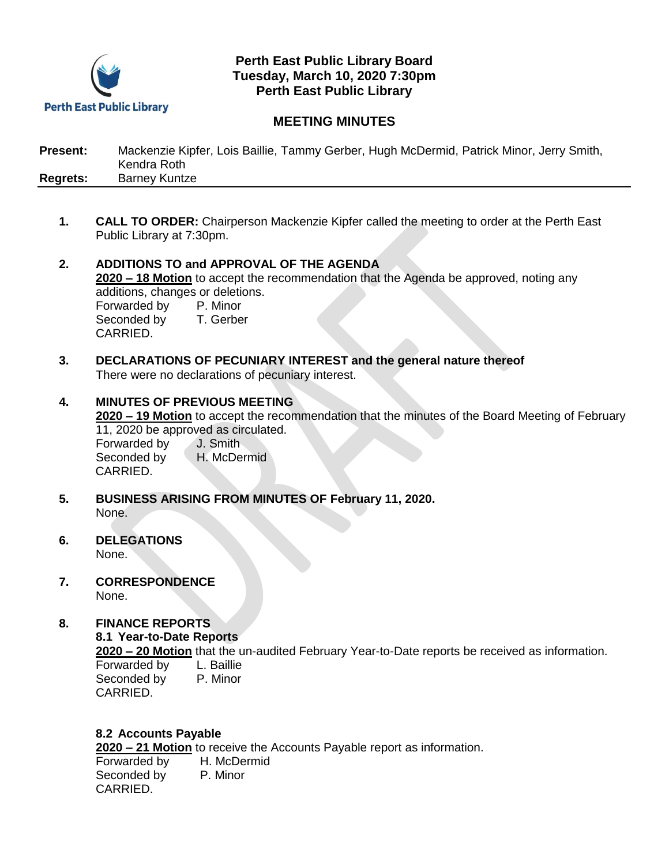

## **Perth East Public Library Board Tuesday, March 10, 2020 7:30pm Perth East Public Library**

# **MEETING MINUTES**

| <b>Present:</b> | Mackenzie Kipfer, Lois Baillie, Tammy Gerber, Hugh McDermid, Patrick Minor, Jerry Smith, |
|-----------------|------------------------------------------------------------------------------------------|
|                 | Kendra Roth                                                                              |
| <b>Regrets:</b> | <b>Barney Kuntze</b>                                                                     |

- **1. CALL TO ORDER:** Chairperson Mackenzie Kipfer called the meeting to order at the Perth East Public Library at 7:30pm.
- **2. ADDITIONS TO and APPROVAL OF THE AGENDA 2020 – 18 Motion** to accept the recommendation that the Agenda be approved, noting any additions, changes or deletions. Forwarded by P. Minor<br>Seconded by T. Gerber Seconded by CARRIED.
- **3. DECLARATIONS OF PECUNIARY INTEREST and the general nature thereof** There were no declarations of pecuniary interest.
- **4. MINUTES OF PREVIOUS MEETING 2020 – 19 Motion** to accept the recommendation that the minutes of the Board Meeting of February 11, 2020 be approved as circulated. Forwarded by J. Smith Seconded by H. McDermid CARRIED.
- **5. BUSINESS ARISING FROM MINUTES OF February 11, 2020.** None.
- **6. DELEGATIONS** None.
- **7. CORRESPONDENCE** None.

## **8. FINANCE REPORTS**

#### **8.1 Year-to-Date Reports**

**2020 – 20 Motion** that the un-audited February Year-to-Date reports be received as information.

Forwarded by L. Baillie Seconded by P. Minor CARRIED.

## **8.2 Accounts Payable**

**2020 – 21 Motion** to receive the Accounts Payable report as information.

Forwarded by H. McDermid Seconded by P. Minor CARRIED.